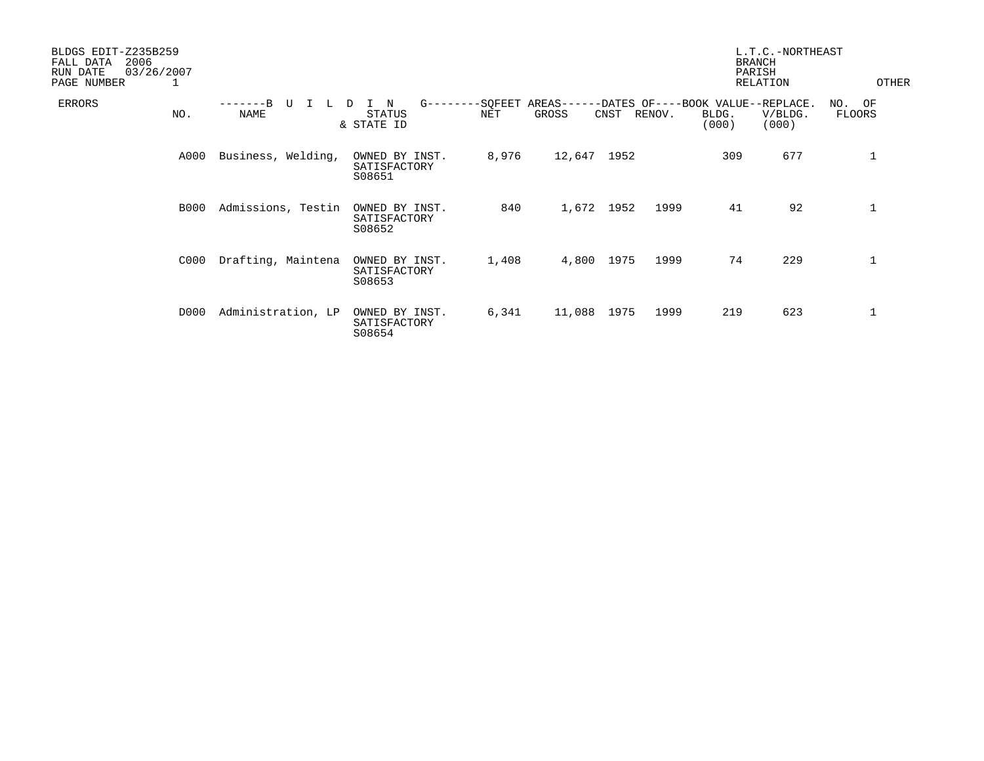| BLDGS EDIT-Z235B259<br>2006<br>FALL DATA<br>03/26/2007<br>RUN DATE<br>PAGE NUMBER<br>1 |             |                    |                                                          |       |                     |      |        |                                                     | L.T.C.-NORTHEAST<br><b>BRANCH</b><br>PARISH<br><b>RELATION</b> | OTHER               |
|----------------------------------------------------------------------------------------|-------------|--------------------|----------------------------------------------------------|-------|---------------------|------|--------|-----------------------------------------------------|----------------------------------------------------------------|---------------------|
| <b>ERRORS</b>                                                                          | NO.         | TT<br><b>NAME</b>  | $G------SOFEET$<br>N<br>D<br><b>STATUS</b><br>& STATE ID | NET   | $AREAS---$<br>GROSS | CNST | RENOV. | -DATES OF----BOOK VALUE--REPLACE.<br>BLDG.<br>(000) | V/BLDG.<br>(000)                                               | OF<br>NO.<br>FLOORS |
|                                                                                        | A000        | Business, Welding, | OWNED BY INST.<br>SATISFACTORY<br>S08651                 | 8,976 | 12,647              | 1952 |        | 309                                                 | 677                                                            | 1                   |
|                                                                                        | <b>B000</b> | Admissions, Testin | OWNED BY INST.<br>SATISFACTORY<br>S08652                 | 840   | 1,672               | 1952 | 1999   | 41                                                  | 92                                                             | 1                   |
|                                                                                        | C000        | Drafting, Maintena | OWNED BY INST.<br>SATISFACTORY<br>S08653                 | 1,408 | 4,800               | 1975 | 1999   | 74                                                  | 229                                                            | $\mathbf 1$         |
|                                                                                        | D000        | Administration, LP | OWNED BY INST.<br>SATISFACTORY<br>S08654                 | 6,341 | 11,088              | 1975 | 1999   | 219                                                 | 623                                                            | $\mathbf 1$         |